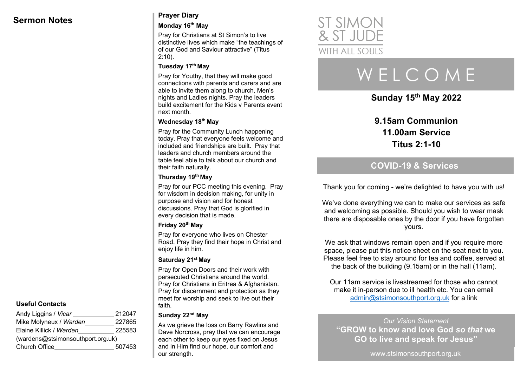## **Sermon Notes Prayer Diary**

#### **Monday 16th May**

Pray for Christians at St Simon's to live distinctive lives which make "the teachings of of our God and Saviour attractive" (Titus 2:10).

#### **Tuesday 17th May**

Pray for Youthy, that they will make good connections with parents and carers and are able to invite them along to church, Men's nights and Ladies nights. Pray the leaders build excitement for the Kids v Parents event next month.

#### **Wednesday 18th May**

Pray for the Community Lunch happening today. Pray that everyone feels welcome and included and friendships are built. Pray that leaders and church members around the table feel able to talk about our church and their faith naturally.

#### **Thursday 19th May**

Pray for our PCC meeting this evening. Pray for wisdom in decision making, for unity in purpose and vision and for honest discussions. Pray that God is glorified in every decision that is made.

#### **Friday 20th May**

Pray for everyone who lives on Chester Road. Pray they find their hope in Christ and enjoy life in him.

#### **Saturday 21st May**

Pray for Open Doors and their work with persecuted Christians around the world. Pray for Christians in Eritrea & Afghanistan. Pray for discernment and protection as they meet for worship and seek to live out their faith.

#### **Sunday 22nd May**

As we grieve the loss on Barry Rawlins and Dave Norcross, pray that we can encourage each other to keep our eyes fixed on Jesus and in Him find our hope, our comfort and our strength.



# W E L C O M E

**Sunday 15th May 2022**

**9.15am Communion 11.00am Service Titus 2:1-10**

## **COVID-19 & Services**

Thank you for coming - we're delighted to have you with us!

We've done everything we can to make our services as safe and welcoming as possible. Should you wish to wear mask there are disposable ones by the door if you have forgotten yours.

We ask that windows remain open and if you require more space, please put this notice sheet on the seat next to you. Please feel free to stay around for tea and coffee, served at the back of the building (9.15am) or in the hall (11am).

Our 11am service is livestreamed for those who cannot make it in-person due to ill health etc. You can email admin@stsimonsouthport.org.uk for a link

*Our Vision Statement* **"GROW to know and love God** *so that* **we GO to live and speak for Jesus"**

www.stsimonsouthport.org.uk

#### **Useful Contacts**

| 212047                            |  |  |
|-----------------------------------|--|--|
| 227865                            |  |  |
| 225583                            |  |  |
| (wardens@stsimonsouthport.org.uk) |  |  |
| 507453                            |  |  |
|                                   |  |  |